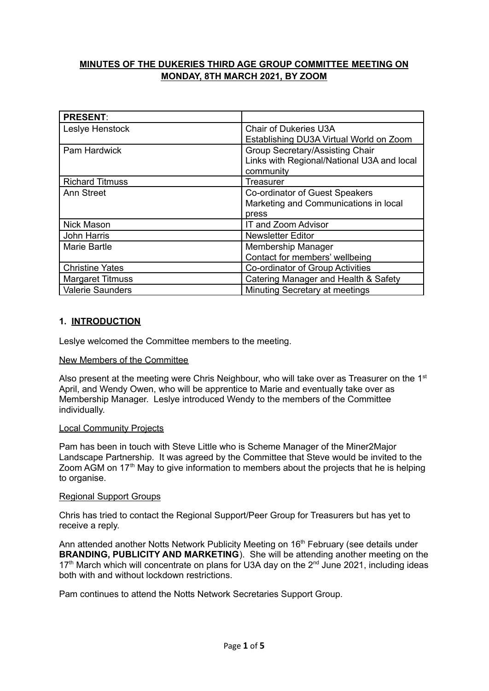# **MINUTES OF THE DUKERIES THIRD AGE GROUP COMMITTEE MEETING ON MONDAY, 8TH MARCH 2021, BY ZOOM**

| <b>PRESENT:</b>         |                                            |
|-------------------------|--------------------------------------------|
| Leslye Henstock         | <b>Chair of Dukeries U3A</b>               |
|                         | Establishing DU3A Virtual World on Zoom    |
| Pam Hardwick            | Group Secretary/Assisting Chair            |
|                         | Links with Regional/National U3A and local |
|                         | community                                  |
| <b>Richard Titmuss</b>  | Treasurer                                  |
| <b>Ann Street</b>       | Co-ordinator of Guest Speakers             |
|                         | Marketing and Communications in local      |
|                         | press                                      |
| <b>Nick Mason</b>       | IT and Zoom Advisor                        |
| John Harris             | <b>Newsletter Editor</b>                   |
| Marie Bartle            | <b>Membership Manager</b>                  |
|                         | Contact for members' wellbeing             |
| <b>Christine Yates</b>  | Co-ordinator of Group Activities           |
| <b>Margaret Titmuss</b> | Catering Manager and Health & Safety       |
| <b>Valerie Saunders</b> | Minuting Secretary at meetings             |

## **1. INTRODUCTION**

Leslye welcomed the Committee members to the meeting.

#### New Members of the Committee

Also present at the meeting were Chris Neighbour, who will take over as Treasurer on the  $1<sup>st</sup>$ April, and Wendy Owen, who will be apprentice to Marie and eventually take over as Membership Manager. Leslye introduced Wendy to the members of the Committee individually.

#### Local Community Projects

Pam has been in touch with Steve Little who is Scheme Manager of the Miner2Major Landscape Partnership. It was agreed by the Committee that Steve would be invited to the Zoom AGM on 17<sup>th</sup> May to give information to members about the projects that he is helping to organise.

#### Regional Support Groups

Chris has tried to contact the Regional Support/Peer Group for Treasurers but has yet to receive a reply.

Ann attended another Notts Network Publicity Meeting on 16<sup>th</sup> February (see details under **BRANDING, PUBLICITY AND MARKETING**). She will be attending another meeting on the 17<sup>th</sup> March which will concentrate on plans for U3A day on the  $2^{nd}$  June 2021, including ideas both with and without lockdown restrictions.

Pam continues to attend the Notts Network Secretaries Support Group.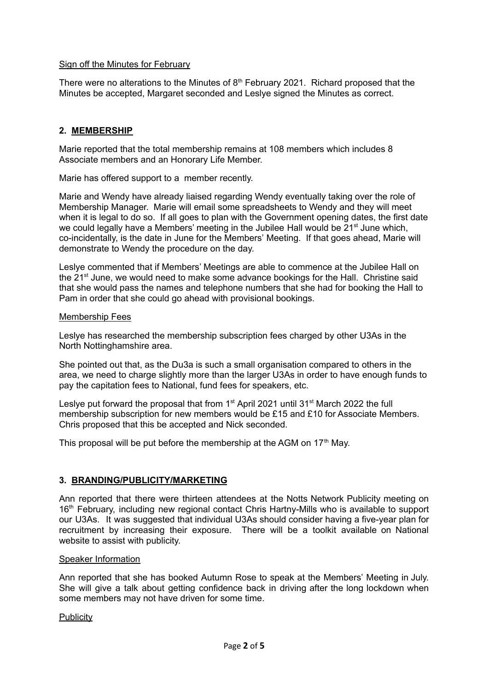## Sign off the Minutes for February

There were no alterations to the Minutes of  $8<sup>th</sup>$  February 2021. Richard proposed that the Minutes be accepted, Margaret seconded and Leslye signed the Minutes as correct.

## **2. MEMBERSHIP**

Marie reported that the total membership remains at 108 members which includes 8 Associate members and an Honorary Life Member.

Marie has offered support to a member recently.

Marie and Wendy have already liaised regarding Wendy eventually taking over the role of Membership Manager. Marie will email some spreadsheets to Wendy and they will meet when it is legal to do so. If all goes to plan with the Government opening dates, the first date we could legally have a Members' meeting in the Jubilee Hall would be 21<sup>st</sup> June which, co-incidentally, is the date in June for the Members' Meeting. If that goes ahead, Marie will demonstrate to Wendy the procedure on the day.

Leslye commented that if Members' Meetings are able to commence at the Jubilee Hall on the 21<sup>st</sup> June, we would need to make some advance bookings for the Hall. Christine said that she would pass the names and telephone numbers that she had for booking the Hall to Pam in order that she could go ahead with provisional bookings.

#### Membership Fees

Leslye has researched the membership subscription fees charged by other U3As in the North Nottinghamshire area.

She pointed out that, as the Du3a is such a small organisation compared to others in the area, we need to charge slightly more than the larger U3As in order to have enough funds to pay the capitation fees to National, fund fees for speakers, etc.

Leslye put forward the proposal that from 1<sup>st</sup> April 2021 until 31<sup>st</sup> March 2022 the full membership subscription for new members would be £15 and £10 for Associate Members. Chris proposed that this be accepted and Nick seconded.

This proposal will be put before the membership at the AGM on  $17<sup>th</sup>$  May.

# **3. BRANDING/PUBLICITY/MARKETING**

Ann reported that there were thirteen attendees at the Notts Network Publicity meeting on 16<sup>th</sup> February, including new regional contact Chris Hartny-Mills who is available to support our U3As. It was suggested that individual U3As should consider having a five-year plan for recruitment by increasing their exposure. There will be a toolkit available on National website to assist with publicity.

#### Speaker Information

Ann reported that she has booked Autumn Rose to speak at the Members' Meeting in July. She will give a talk about getting confidence back in driving after the long lockdown when some members may not have driven for some time.

#### **Publicity**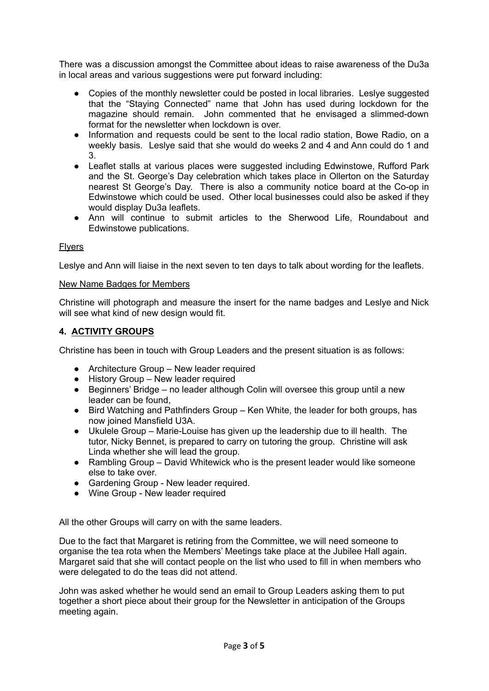There was a discussion amongst the Committee about ideas to raise awareness of the Du3a in local areas and various suggestions were put forward including:

- Copies of the monthly newsletter could be posted in local libraries. Leslye suggested that the "Staying Connected" name that John has used during lockdown for the magazine should remain. John commented that he envisaged a slimmed-down format for the newsletter when lockdown is over.
- Information and requests could be sent to the local radio station, Bowe Radio, on a weekly basis. Leslye said that she would do weeks 2 and 4 and Ann could do 1 and 3.
- Leaflet stalls at various places were suggested including Edwinstowe, Rufford Park and the St. George's Day celebration which takes place in Ollerton on the Saturday nearest St George's Day. There is also a community notice board at the Co-op in Edwinstowe which could be used. Other local businesses could also be asked if they would display Du3a leaflets.
- Ann will continue to submit articles to the Sherwood Life, Roundabout and Edwinstowe publications.

## **Flyers**

Leslye and Ann will liaise in the next seven to ten days to talk about wording for the leaflets.

#### New Name Badges for Members

Christine will photograph and measure the insert for the name badges and Leslye and Nick will see what kind of new design would fit.

## **4. ACTIVITY GROUPS**

Christine has been in touch with Group Leaders and the present situation is as follows:

- Architecture Group New leader required
- History Group New leader required
- Beginners' Bridge no leader although Colin will oversee this group until a new leader can be found,
- Bird Watching and Pathfinders Group Ken White, the leader for both groups, has now joined Mansfield U3A.
- Ukulele Group Marie-Louise has given up the leadership due to ill health. The tutor, Nicky Bennet, is prepared to carry on tutoring the group. Christine will ask Linda whether she will lead the group.
- Rambling Group David Whitewick who is the present leader would like someone else to take over.
- Gardening Group New leader required.
- Wine Group New leader required

All the other Groups will carry on with the same leaders.

Due to the fact that Margaret is retiring from the Committee, we will need someone to organise the tea rota when the Members' Meetings take place at the Jubilee Hall again. Margaret said that she will contact people on the list who used to fill in when members who were delegated to do the teas did not attend.

John was asked whether he would send an email to Group Leaders asking them to put together a short piece about their group for the Newsletter in anticipation of the Groups meeting again.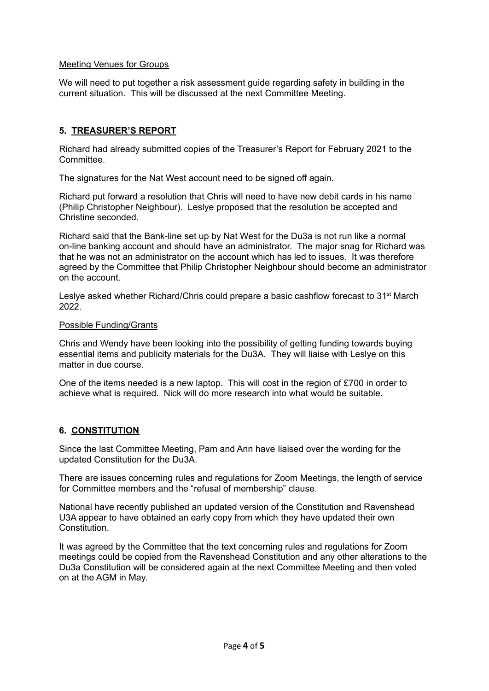## Meeting Venues for Groups

We will need to put together a risk assessment guide regarding safety in building in the current situation. This will be discussed at the next Committee Meeting.

# **5. TREASURER'S REPORT**

Richard had already submitted copies of the Treasurer's Report for February 2021 to the **Committee.** 

The signatures for the Nat West account need to be signed off again.

Richard put forward a resolution that Chris will need to have new debit cards in his name (Philip Christopher Neighbour). Leslye proposed that the resolution be accepted and Christine seconded.

Richard said that the Bank-line set up by Nat West for the Du3a is not run like a normal on-line banking account and should have an administrator. The major snag for Richard was that he was not an administrator on the account which has led to issues. It was therefore agreed by the Committee that Philip Christopher Neighbour should become an administrator on the account.

Leslye asked whether Richard/Chris could prepare a basic cashflow forecast to 31<sup>st</sup> March 2022.

## Possible Funding/Grants

Chris and Wendy have been looking into the possibility of getting funding towards buying essential items and publicity materials for the Du3A. They will liaise with Leslye on this matter in due course.

One of the items needed is a new laptop. This will cost in the region of £700 in order to achieve what is required. Nick will do more research into what would be suitable.

# **6. CONSTITUTION**

Since the last Committee Meeting, Pam and Ann have liaised over the wording for the updated Constitution for the Du3A.

There are issues concerning rules and regulations for Zoom Meetings, the length of service for Committee members and the "refusal of membership" clause.

National have recently published an updated version of the Constitution and Ravenshead U3A appear to have obtained an early copy from which they have updated their own **Constitution** 

It was agreed by the Committee that the text concerning rules and regulations for Zoom meetings could be copied from the Ravenshead Constitution and any other alterations to the Du3a Constitution will be considered again at the next Committee Meeting and then voted on at the AGM in May.